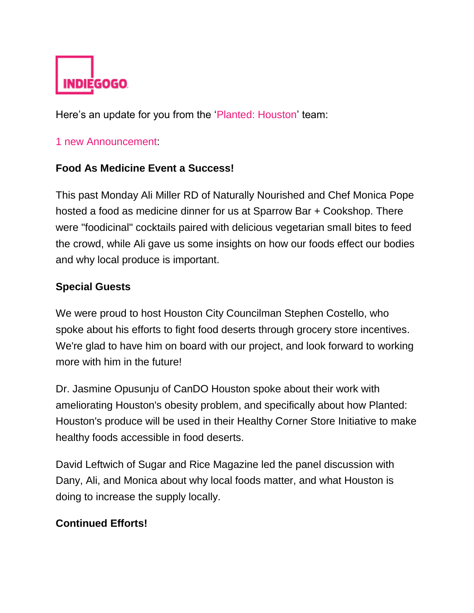

Here's an update for you from the ['Planted: Houston'](http://email.indiegogo.com/wf/click?upn=Ya-2FHTIBcULGv1cJzCEG3iSm8Cy11Z5-2FyqqTQa5dUu7oKHjczJnloiaRol15Da20iiga-2FZI-2FYNoPI2AjRneODJA-3D-3D_4Kx3Uc2Aje0UsruHfwEz4xbohtoKX1JrkFuMtgVyz8AXk2EvUqH-2BP2vRz6hmtNzxsdqQOfR-2Bh5DEugrYe-2BYlGtkZeMytj26zMXm70qziT5cqA6iW9NxdXRQ9PMsyrFkvq2yJ8e3HDOPiL9Ty3LDQX3-2FdOnjq8RJujE4DZz0OipLOqQz-2BGaMyQT-2BXNUpphdJKd3EstOtYPSsI1cY7tt0u2cv2ck-2BZNUEsnFLHo2PTvVhclY6RB407MVtxtzwjl0GU) team:

## [1 new Announcement:](http://email.indiegogo.com/wf/click?upn=Ya-2FHTIBcULGv1cJzCEG3iSm8Cy11Z5-2FyqqTQa5dUu7oKHjczJnloiaRol15Da20iBieiuGoPD7uSKNI1qJvuLBBu4Jo0Yag3F19KxiY6cLN3Uk47ERS-2BiD7Hed2JusVYasih2ytqQNfoKcvoQ9NaRw-3D-3D_4Kx3Uc2Aje0UsruHfwEz4xbohtoKX1JrkFuMtgVyz8AXk2EvUqH-2BP2vRz6hmtNzxsdqQOfR-2Bh5DEugrYe-2BYlGvsETIjhz-2BX1wWGjChwHIn1THLsRMY091UhApA0zT3Si-2Bo09r7urziaWu06g1EGM71o0ZqOmZB-2BQmFta0IlhpT-2FAeSV-2Bk3TmLxdSpP4D3ew7e-2FThyHiVIfpbeAbSiD23l5ADAIwL0i6qNq06DI2qkS55fhJS9tK2XC3MIE46m1bV)

## **Food As Medicine Event a Success!**

This past Monday Ali Miller RD of Naturally Nourished and Chef Monica Pope hosted a food as medicine dinner for us at Sparrow Bar + Cookshop. There were "foodicinal" cocktails paired with delicious vegetarian small bites to feed the crowd, while Ali gave us some insights on how our foods effect our bodies and why local produce is important.

## **Special Guests**

We were proud to host Houston City Councilman Stephen Costello, who spoke about his efforts to fight food deserts through grocery store incentives. We're glad to have him on board with our project, and look forward to working more with him in the future!

Dr. Jasmine Opusunju of CanDO Houston spoke about their work with ameliorating Houston's obesity problem, and specifically about how Planted: Houston's produce will be used in their Healthy Corner Store Initiative to make healthy foods accessible in food deserts.

David Leftwich of Sugar and Rice Magazine led the panel discussion with Dany, Ali, and Monica about why local foods matter, and what Houston is doing to increase the supply locally.

## **Continued Efforts!**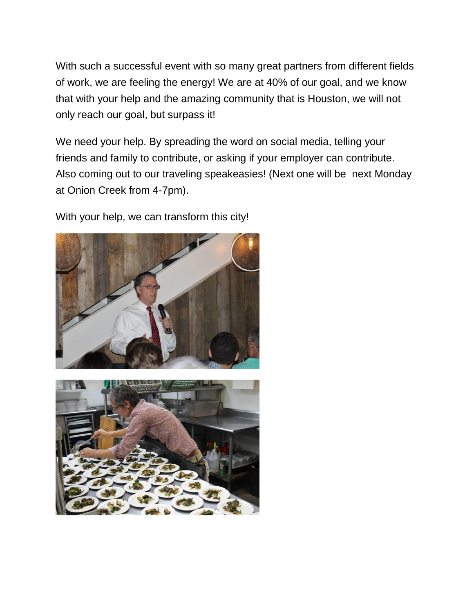With such a successful event with so many great partners from different fields of work, we are feeling the energy! We are at 40% of our goal, and we know that with your help and the amazing community that is Houston, we will not only reach our goal, but surpass it!

We need your help. By spreading the word on social media, telling your friends and family to contribute, or asking if your employer can contribute. Also coming out to our traveling speakeasies! (Next one will be next Monday at Onion Creek from 4-7pm).

With your help, we can transform this city!